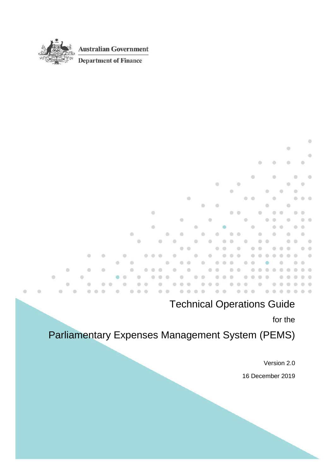

 $\circledcirc$ 

**Australian Government** 

**Department of Finance** 

#### ó ö  $\circledcirc$ idi. ø ä in.  $\omega$ ۵ m ö in.  $\otimes$  $\circledcirc$ O.  $O$  $\circ$  $\alpha$ ö a.  $\overline{a}$ **i**  $\circ$ di.  $\circ$ ä ä a. m ۰ m **O** 面 ö ö  $\overline{\mathbb{Q}}$ es.  $\odot$ ö ō G) ö O)  $\ddot{\circ}$  $0.0.0$  $\circ$ ö  $\oplus$  $\alpha$ ö ö ó ö  $\alpha$ ۵  $\odot$ ö  $\ddot{\phantom{a}}$ ö  $\Box$  $\overline{a}$  $\alpha$ d) w (f) ö ö ۵  $\circ$ ۵ a ö  $\circ$ a.  $\circ$ ö  $\odot$  $\sigma$ ö ö  $\frac{1}{2}$ G ö  $(2)$ o ä  $\oplus$ ö illi) ö  $\bullet$   $\circ$  $\sim$ m  $\alpha$ m a m  $\alpha$  $\blacksquare$ ö  $\ddot{\phantom{a}}$  $\alpha$  $\odot$  $\alpha$  $\alpha$  $\begin{array}{c} 0 \\ 0 \end{array}$  $\alpha$  $\circ$  $\alpha$  $\bullet$  $\ddot{\phantom{a}}$  $0<sup>2</sup>$  $0.01$  $@$  $\circ$  $\blacksquare$  $0.0.0$  $0.0.0.0$  $0.00$  $0\ \ 0\ \ 0\ \ 0\ \ 0\ \ 0\ \ 0$ ö  $\odot$  $\circ$   $\circ$  $\overline{a}$  $\frac{1}{2}$ es.

#### Technical Operations Guide

for the

# Parliamentary Expenses Management System (PEMS)

Version 2.0

16 December 2019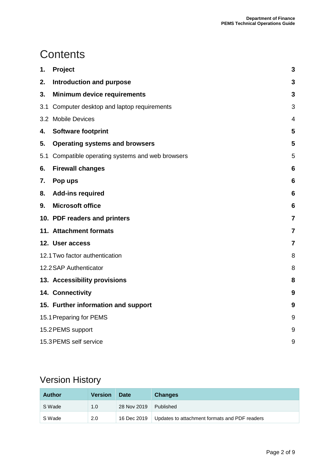# **Contents**

| 1.  | Project                                           | 3               |
|-----|---------------------------------------------------|-----------------|
| 2.  | <b>Introduction and purpose</b>                   | 3               |
| 3.  | <b>Minimum device requirements</b>                | 3               |
| 3.1 | Computer desktop and laptop requirements          | 3               |
|     | 3.2 Mobile Devices                                | 4               |
| 4.  | <b>Software footprint</b>                         | 5               |
| 5.  | <b>Operating systems and browsers</b>             | 5               |
|     | 5.1 Compatible operating systems and web browsers | 5               |
| 6.  | <b>Firewall changes</b>                           | 6               |
| 7.  | Pop ups                                           | $6\phantom{1}6$ |
| 8.  | <b>Add-ins required</b>                           | $6\phantom{1}6$ |
| 9.  | <b>Microsoft office</b>                           | 6               |
|     | 10. PDF readers and printers                      | $\overline{7}$  |
|     | 11. Attachment formats                            | $\overline{7}$  |
|     | 12. User access                                   | $\overline{7}$  |
|     | 12.1 Two factor authentication                    | 8               |
|     | 12.2 SAP Authenticator                            | 8               |
|     | 13. Accessibility provisions                      | 8               |
|     | 14. Connectivity                                  | 9               |
|     | 15. Further information and support               | 9               |
|     | 15.1 Preparing for PEMS                           | 9               |
|     | 15.2 PEMS support                                 | 9               |
|     | 15.3 PEMS self service                            | 9               |

#### Version History

| Author | <b>Version</b> | Date        | <b>Changes</b>                                |
|--------|----------------|-------------|-----------------------------------------------|
| S Wade | 1.0            | 28 Nov 2019 | Published                                     |
| S Wade | 2.0            | 16 Dec 2019 | Updates to attachment formats and PDF readers |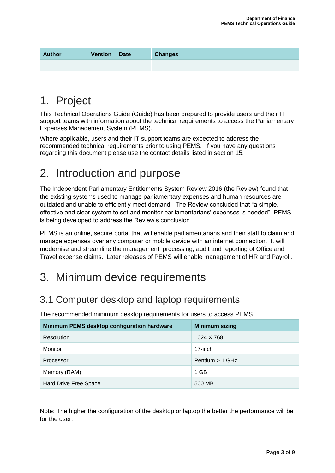| <b>Author</b> | <b>Version</b> | <b>Date</b> | <b>Changes</b> |
|---------------|----------------|-------------|----------------|
|               |                |             |                |

#### 1. Project

This Technical Operations Guide (Guide) has been prepared to provide users and their IT support teams with information about the technical requirements to access the Parliamentary Expenses Management System (PEMS).

Where applicable, users and their IT support teams are expected to address the recommended technical requirements prior to using PEMS. If you have any questions regarding this document please use the contact details listed in section 15.

#### 2. Introduction and purpose

The Independent Parliamentary Entitlements System Review 2016 (the Review) found that the existing systems used to manage parliamentary expenses and human resources are outdated and unable to efficiently meet demand. The Review concluded that "a simple, effective and clear system to set and monitor parliamentarians' expenses is needed". PEMS is being developed to address the Review's conclusion.

PEMS is an online, secure portal that will enable parliamentarians and their staff to claim and manage expenses over any computer or mobile device with an internet connection. It will modernise and streamline the management, processing, audit and reporting of Office and Travel expense claims. Later releases of PEMS will enable management of HR and Payroll.

# 3. Minimum device requirements

#### 3.1 Computer desktop and laptop requirements

The recommended minimum desktop requirements for users to access PEMS

| Minimum PEMS desktop configuration hardware | <b>Minimum sizing</b> |
|---------------------------------------------|-----------------------|
| Resolution                                  | 1024 X 768            |
| Monitor                                     | 17-inch               |
| Processor                                   | Pentium $> 1$ GHz     |
| Memory (RAM)                                | 1 GB                  |
| Hard Drive Free Space                       | 500 MB                |

Note: The higher the configuration of the desktop or laptop the better the performance will be for the user.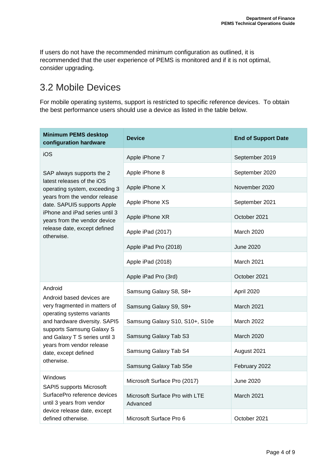If users do not have the recommended minimum configuration as outlined, it is recommended that the user experience of PEMS is monitored and if it is not optimal, consider upgrading.

#### 3.2 Mobile Devices

For mobile operating systems, support is restricted to specific reference devices. To obtain the best performance users should use a device as listed in the table below.

| <b>Minimum PEMS desktop</b><br>configuration hardware                                 | <b>Device</b>                              | <b>End of Support Date</b> |  |  |
|---------------------------------------------------------------------------------------|--------------------------------------------|----------------------------|--|--|
| iOS                                                                                   | Apple iPhone 7                             | September 2019             |  |  |
| SAP always supports the 2                                                             | Apple iPhone 8                             | September 2020             |  |  |
| latest releases of the iOS<br>operating system, exceeding 3                           | Apple iPhone X                             | November 2020              |  |  |
| years from the vendor release<br>date. SAPUI5 supports Apple                          | Apple iPhone XS                            | September 2021             |  |  |
| iPhone and iPad series until 3<br>years from the vendor device                        | Apple iPhone XR                            | October 2021               |  |  |
| release date, except defined<br>otherwise.                                            | Apple iPad (2017)                          | <b>March 2020</b>          |  |  |
|                                                                                       | Apple iPad Pro (2018)                      | <b>June 2020</b>           |  |  |
|                                                                                       | Apple iPad (2018)                          | <b>March 2021</b>          |  |  |
|                                                                                       | Apple iPad Pro (3rd)                       | October 2021               |  |  |
| Android                                                                               | Samsung Galaxy S8, S8+                     | April 2020                 |  |  |
| Android based devices are<br>very fragmented in matters of                            | Samsung Galaxy S9, S9+                     | <b>March 2021</b>          |  |  |
| operating systems variants<br>and hardware diversity. SAPI5                           | Samsung Galaxy S10, S10+, S10e             | <b>March 2022</b>          |  |  |
| supports Samsung Galaxy S<br>and Galaxy T S series until 3                            | Samsung Galaxy Tab S3                      | March 2020                 |  |  |
| years from vendor release<br>date, except defined                                     | Samsung Galaxy Tab S4                      | August 2021                |  |  |
| otherwise.                                                                            | Samsung Galaxy Tab S5e                     | February 2022              |  |  |
| Windows                                                                               | Microsoft Surface Pro (2017)               | <b>June 2020</b>           |  |  |
| SAPI5 supports Microsoft<br>SurfacePro reference devices<br>until 3 years from vendor | Microsoft Surface Pro with LTE<br>Advanced | March 2021                 |  |  |
| device release date, except<br>defined otherwise.                                     | Microsoft Surface Pro 6                    | October 2021               |  |  |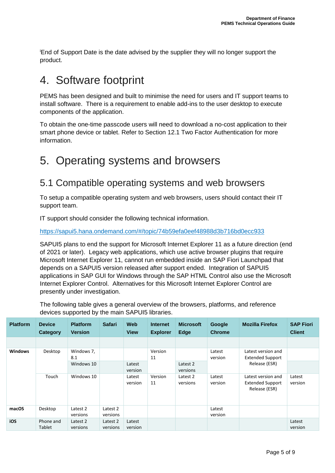<sup>i</sup>End of Support Date is the date advised by the supplier they will no longer support the product.

#### 4. Software footprint

PEMS has been designed and built to minimise the need for users and IT support teams to install software. There is a requirement to enable add-ins to the user desktop to execute components of the application.

To obtain the one-time passcode users will need to download a no-cost application to their smart phone device or tablet. Refer to Section 12.1 Two Factor Authentication for more information.

# 5. Operating systems and browsers

#### 5.1 Compatible operating systems and web browsers

To setup a compatible operating system and web browsers, users should contact their IT support team.

IT support should consider the following technical information.

<https://sapui5.hana.ondemand.com/#/topic/74b59efa0eef48988d3b716bd0ecc933>

SAPUI5 plans to end the support for Microsoft Internet Explorer 11 as a future direction (end of 2021 or later). Legacy web applications, which use active browser plugins that require Microsoft Internet Explorer 11, cannot run embedded inside an SAP Fiori Launchpad that depends on a SAPUI5 version released after support ended. Integration of SAPUI5 applications in SAP GUI for Windows through the SAP HTML Control also use the Microsoft Internet Explorer Control. Alternatives for this Microsoft Internet Explorer Control are presently under investigation.

The following table gives a general overview of the browsers, platforms, and reference devices supported by the main SAPUI5 libraries.

| <b>Platform</b> | <b>Device</b><br>Category  | <b>Platform</b><br><b>Version</b> | <b>Safari</b>        | Web<br><b>View</b> | <b>Internet</b><br><b>Explorer</b> | <b>Microsoft</b><br><b>Edge</b> | Google<br><b>Chrome</b> | <b>Mozilla Firefox</b>                                         | <b>SAP Fiori</b><br><b>Client</b> |
|-----------------|----------------------------|-----------------------------------|----------------------|--------------------|------------------------------------|---------------------------------|-------------------------|----------------------------------------------------------------|-----------------------------------|
|                 |                            |                                   |                      |                    |                                    |                                 |                         |                                                                |                                   |
| <b>Windows</b>  | Desktop                    | Windows 7,<br>8.1<br>Windows 10   |                      | Latest<br>version  | Version<br>11                      | Latest 2<br>versions            | Latest<br>version       | Latest version and<br><b>Extended Support</b><br>Release (ESR) |                                   |
|                 | Touch                      | Windows 10                        |                      | Latest<br>version  | Version<br>11                      | Latest 2<br>versions            | Latest<br>version       | Latest version and<br><b>Extended Support</b><br>Release (ESR) | Latest<br>version                 |
| macOS           | Desktop                    | Latest 2<br>versions              | Latest 2<br>versions |                    |                                    |                                 | Latest<br>version       |                                                                |                                   |
| iOS             | Phone and<br><b>Tablet</b> | Latest 2<br>versions              | Latest 2<br>versions | Latest<br>version  |                                    |                                 |                         |                                                                | Latest<br>version                 |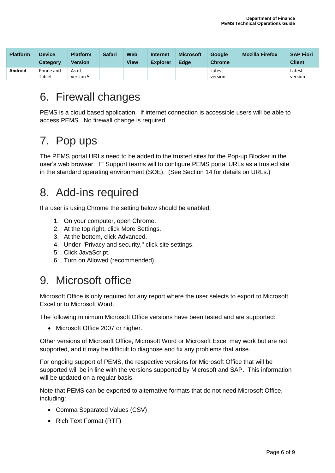| <b>Platform</b> | <b>Device</b><br>Category | <b>Platform</b><br>Version | <b>Safari</b> | Web<br><b>View</b> | Internet<br><b>Explorer</b> | <b>Microsoft</b><br><b>Edge</b> | <b>Google</b><br><b>Chrome</b> | <b>Mozilla Firefox</b> | <b>SAP Fiori</b><br><b>Client</b> |
|-----------------|---------------------------|----------------------------|---------------|--------------------|-----------------------------|---------------------------------|--------------------------------|------------------------|-----------------------------------|
| Android         | Phone and<br>Tablet       | As of<br>version 5         |               |                    |                             |                                 | Latest<br>version              |                        | Latest<br>version                 |

# 6. Firewall changes

PEMS is a cloud based application. If internet connection is accessible users will be able to access PEMS. No firewall change is required.

# 7. Pop ups

The PEMS portal URLs need to be added to the trusted sites for the Pop-up Blocker in the user's web browser. IT Support teams will to configure PEMS portal URLs as a trusted site in the standard operating environment (SOE). (See Section 14 for details on URLs.)

# 8. Add-ins required

If a user is using Chrome the setting below should be enabled.

- 1. On your computer, open Chrome.
- 2. At the top right, click More Settings.
- 3. At the bottom, click Advanced.
- 4. Under "Privacy and security," click site settings.
- 5. Click JavaScript.
- 6. Turn on Allowed (recommended).

# 9. Microsoft office

Microsoft Office is only required for any report where the user selects to export to Microsoft Excel or to Microsoft Word.

The following minimum Microsoft Office versions have been tested and are supported:

• Microsoft Office 2007 or higher.

Other versions of Microsoft Office, Microsoft Word or Microsoft Excel may work but are not supported, and it may be difficult to diagnose and fix any problems that arise.

For ongoing support of PEMS, the respective versions for Microsoft Office that will be supported will be in line with the versions supported by Microsoft and SAP. This information will be updated on a regular basis.

Note that PEMS can be exported to alternative formats that do not need Microsoft Office, including:

- Comma Separated Values (CSV)
- Rich Text Format (RTF)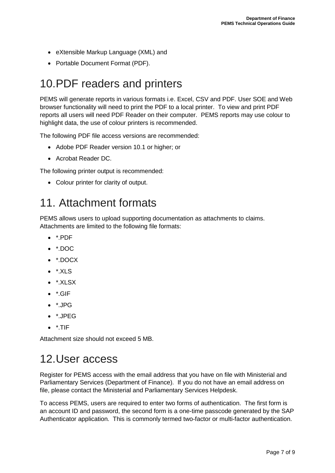- eXtensible Markup Language (XML) and
- Portable Document Format (PDF).

# 10.PDF readers and printers

PEMS will generate reports in various formats i.e. Excel, CSV and PDF. User SOE and Web browser functionality will need to print the PDF to a local printer. To view and print PDF reports all users will need PDF Reader on their computer. PEMS reports may use colour to highlight data, the use of colour printers is recommended.

The following PDF file access versions are recommended:

- Adobe PDF Reader version 10.1 or higher; or
- Acrobat Reader DC.

The following printer output is recommended:

• Colour printer for clarity of output.

#### 11. Attachment formats

PEMS allows users to upload supporting documentation as attachments to claims. Attachments are limited to the following file formats:

- \*.PDF
- \*.DOC
- \*.DOCX
- \*.XLS
- $\bullet$  \*.XLSX
- \*.GIF
- $\bullet$  \*.JPG
- \*.JPEG
- $\bullet$  \*.TIF

Attachment size should not exceed 5 MB.

# 12.User access

Register for PEMS access with the email address that you have on file with Ministerial and Parliamentary Services (Department of Finance). If you do not have an email address on file, please contact the Ministerial and Parliamentary Services Helpdesk.

To access PEMS, users are required to enter two forms of authentication. The first form is an account ID and password, the second form is a one-time passcode generated by the SAP Authenticator application. This is commonly termed two-factor or multi-factor authentication.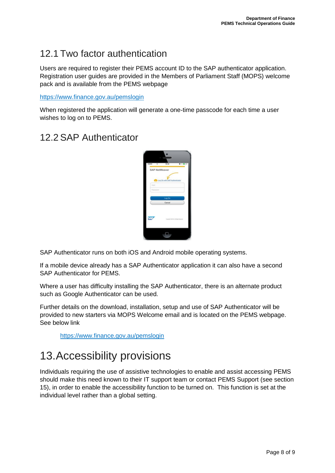#### 12.1 Two factor authentication

Users are required to register their PEMS account ID to the SAP authenticator application. Registration user guides are provided in the Members of Parliament Staff (MOPS) welcome pack and is available from the PEMS webpage

<https://www.finance.gov.au/pemslogin>

When registered the application will generate a one-time passcode for each time a user wishes to log on to PEMS.

#### 12.2SAP Authenticator



SAP Authenticator runs on both iOS and Android mobile operating systems.

If a mobile device already has a SAP Authenticator application it can also have a second SAP Authenticator for PEMS.

Where a user has difficulty installing the SAP Authenticator, there is an alternate product such as Google Authenticator can be used.

Further details on the download, installation, setup and use of SAP Authenticator will be provided to new starters via MOPS Welcome email and is located on the PEMS webpage. See below link

<https://www.finance.gov.au/pemslogin>

# 13.Accessibility provisions

Individuals requiring the use of assistive technologies to enable and assist accessing PEMS should make this need known to their IT support team or contact PEMS Support (see section 15), in order to enable the accessibility function to be turned on. This function is set at the individual level rather than a global setting.